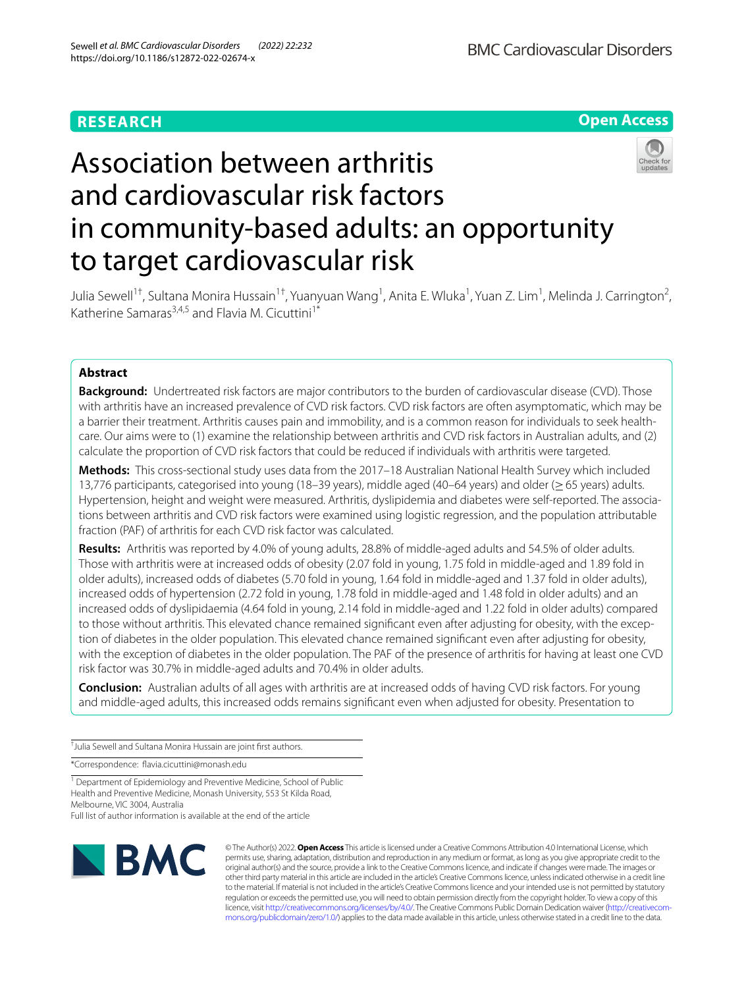# **RESEARCH**



# Association between arthritis and cardiovascular risk factors in community-based adults: an opportunity to target cardiovascular risk



Julia Sewell<sup>1†</sup>, Sultana Monira Hussain<sup>1†</sup>, Yuanyuan Wang<sup>1</sup>, Anita E. Wluka<sup>1</sup>, Yuan Z. Lim<sup>1</sup>, Melinda J. Carrington<sup>2</sup>, Katherine Samaras<sup>3,4,5</sup> and Flavia M. Cicuttini<sup>1\*</sup>

# **Abstract**

**Background:** Undertreated risk factors are major contributors to the burden of cardiovascular disease (CVD). Those with arthritis have an increased prevalence of CVD risk factors. CVD risk factors are often asymptomatic, which may be a barrier their treatment. Arthritis causes pain and immobility, and is a common reason for individuals to seek healthcare. Our aims were to (1) examine the relationship between arthritis and CVD risk factors in Australian adults, and (2) calculate the proportion of CVD risk factors that could be reduced if individuals with arthritis were targeted.

**Methods:** This cross-sectional study uses data from the 2017–18 Australian National Health Survey which included 13,776 participants, categorised into young (18–39 years), middle aged (40–64 years) and older (≥65 years) adults. Hypertension, height and weight were measured. Arthritis, dyslipidemia and diabetes were self-reported. The associations between arthritis and CVD risk factors were examined using logistic regression, and the population attributable fraction (PAF) of arthritis for each CVD risk factor was calculated.

**Results:** Arthritis was reported by 4.0% of young adults, 28.8% of middle-aged adults and 54.5% of older adults. Those with arthritis were at increased odds of obesity (2.07 fold in young, 1.75 fold in middle-aged and 1.89 fold in older adults), increased odds of diabetes (5.70 fold in young, 1.64 fold in middle-aged and 1.37 fold in older adults), increased odds of hypertension (2.72 fold in young, 1.78 fold in middle-aged and 1.48 fold in older adults) and an increased odds of dyslipidaemia (4.64 fold in young, 2.14 fold in middle-aged and 1.22 fold in older adults) compared to those without arthritis. This elevated chance remained signifcant even after adjusting for obesity, with the exception of diabetes in the older population. This elevated chance remained signifcant even after adjusting for obesity, with the exception of diabetes in the older population. The PAF of the presence of arthritis for having at least one CVD risk factor was 30.7% in middle-aged adults and 70.4% in older adults.

**Conclusion:** Australian adults of all ages with arthritis are at increased odds of having CVD risk factors. For young and middle-aged adults, this increased odds remains signifcant even when adjusted for obesity. Presentation to

† Julia Sewell and Sultana Monira Hussain are joint frst authors.

\*Correspondence: favia.cicuttini@monash.edu

<sup>1</sup> Department of Epidemiology and Preventive Medicine, School of Public Health and Preventive Medicine, Monash University, 553 St Kilda Road, Melbourne, VIC 3004, Australia Full list of author information is available at the end of the article



© The Author(s) 2022. **Open Access** This article is licensed under a Creative Commons Attribution 4.0 International License, which permits use, sharing, adaptation, distribution and reproduction in any medium or format, as long as you give appropriate credit to the original author(s) and the source, provide a link to the Creative Commons licence, and indicate if changes were made. The images or other third party material in this article are included in the article's Creative Commons licence, unless indicated otherwise in a credit line to the material. If material is not included in the article's Creative Commons licence and your intended use is not permitted by statutory regulation or exceeds the permitted use, you will need to obtain permission directly from the copyright holder. To view a copy of this licence, visit [http://creativecommons.org/licenses/by/4.0/.](http://creativecommons.org/licenses/by/4.0/) The Creative Commons Public Domain Dedication waiver ([http://creativecom](http://creativecommons.org/publicdomain/zero/1.0/)[mons.org/publicdomain/zero/1.0/\)](http://creativecommons.org/publicdomain/zero/1.0/) applies to the data made available in this article, unless otherwise stated in a credit line to the data.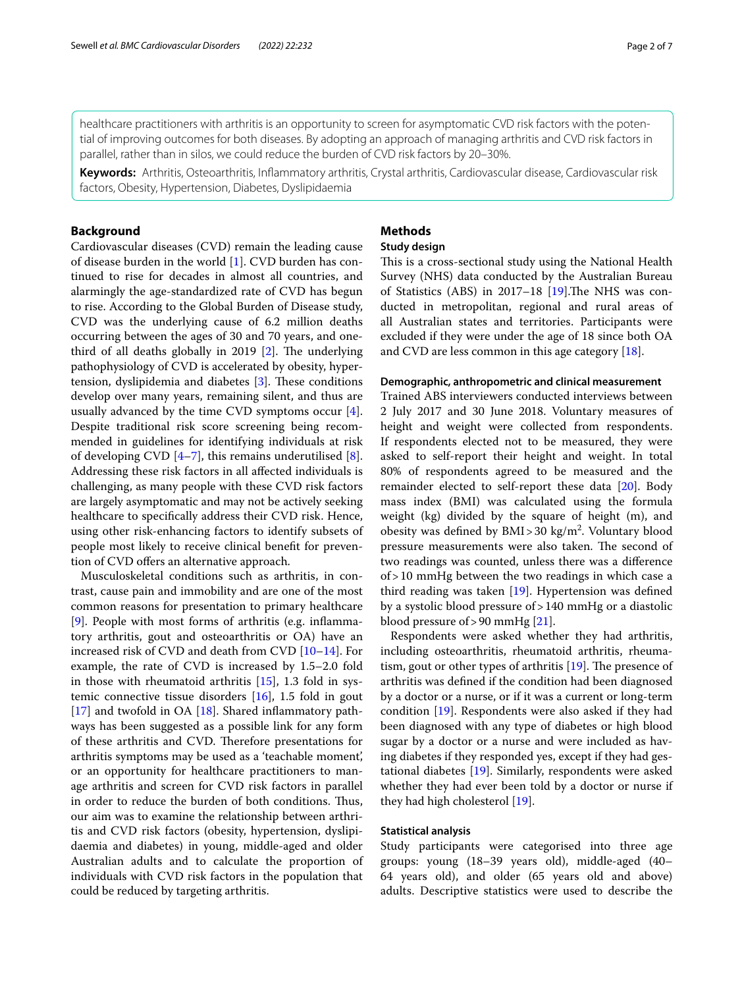healthcare practitioners with arthritis is an opportunity to screen for asymptomatic CVD risk factors with the potential of improving outcomes for both diseases. By adopting an approach of managing arthritis and CVD risk factors in parallel, rather than in silos, we could reduce the burden of CVD risk factors by 20–30%.

**Keywords:** Arthritis, Osteoarthritis, Infammatory arthritis, Crystal arthritis, Cardiovascular disease, Cardiovascular risk factors, Obesity, Hypertension, Diabetes, Dyslipidaemia

# **Background**

Cardiovascular diseases (CVD) remain the leading cause of disease burden in the world [[1\]](#page-5-0). CVD burden has continued to rise for decades in almost all countries, and alarmingly the age-standardized rate of CVD has begun to rise. According to the Global Burden of Disease study, CVD was the underlying cause of 6.2 million deaths occurring between the ages of 30 and 70 years, and onethird of all deaths globally in 2019  $[2]$  $[2]$ . The underlying pathophysiology of CVD is accelerated by obesity, hypertension, dyslipidemia and diabetes  $[3]$  $[3]$ . These conditions develop over many years, remaining silent, and thus are usually advanced by the time CVD symptoms occur [\[4](#page-5-3)]. Despite traditional risk score screening being recommended in guidelines for identifying individuals at risk of developing CVD  $[4-7]$  $[4-7]$ , this remains underutilised  $[8]$  $[8]$ . Addressing these risk factors in all afected individuals is challenging, as many people with these CVD risk factors are largely asymptomatic and may not be actively seeking healthcare to specifcally address their CVD risk. Hence, using other risk-enhancing factors to identify subsets of people most likely to receive clinical beneft for prevention of CVD ofers an alternative approach.

Musculoskeletal conditions such as arthritis, in contrast, cause pain and immobility and are one of the most common reasons for presentation to primary healthcare [[9\]](#page-5-6). People with most forms of arthritis (e.g. infammatory arthritis, gout and osteoarthritis or OA) have an increased risk of CVD and death from CVD [\[10](#page-5-7)–[14\]](#page-6-0). For example, the rate of CVD is increased by 1.5–2.0 fold in those with rheumatoid arthritis [\[15\]](#page-6-1), 1.3 fold in systemic connective tissue disorders [[16](#page-6-2)], 1.5 fold in gout [[17\]](#page-6-3) and twofold in OA [\[18](#page-6-4)]. Shared inflammatory pathways has been suggested as a possible link for any form of these arthritis and CVD. Therefore presentations for arthritis symptoms may be used as a 'teachable moment', or an opportunity for healthcare practitioners to manage arthritis and screen for CVD risk factors in parallel in order to reduce the burden of both conditions. Thus, our aim was to examine the relationship between arthritis and CVD risk factors (obesity, hypertension, dyslipidaemia and diabetes) in young, middle-aged and older Australian adults and to calculate the proportion of individuals with CVD risk factors in the population that could be reduced by targeting arthritis.

# **Methods**

# **Study design**

This is a cross-sectional study using the National Health Survey (NHS) data conducted by the Australian Bureau of Statistics (ABS) in 2017–18  $[19]$  $[19]$  $[19]$ . The NHS was conducted in metropolitan, regional and rural areas of all Australian states and territories. Participants were excluded if they were under the age of 18 since both OA and CVD are less common in this age category [[18\]](#page-6-4).

# **Demographic, anthropometric and clinical measurement**

Trained ABS interviewers conducted interviews between 2 July 2017 and 30 June 2018. Voluntary measures of height and weight were collected from respondents. If respondents elected not to be measured, they were asked to self-report their height and weight. In total 80% of respondents agreed to be measured and the remainder elected to self-report these data [[20](#page-6-6)]. Body mass index (BMI) was calculated using the formula weight (kg) divided by the square of height (m), and obesity was defined by  $BMI > 30$  kg/m<sup>2</sup>. Voluntary blood pressure measurements were also taken. The second of two readings was counted, unless there was a diference of>10 mmHg between the two readings in which case a third reading was taken [[19\]](#page-6-5). Hypertension was defned by a systolic blood pressure of>140 mmHg or a diastolic blood pressure of>90 mmHg [[21\]](#page-6-7).

Respondents were asked whether they had arthritis, including osteoarthritis, rheumatoid arthritis, rheumatism, gout or other types of arthritis  $[19]$  $[19]$ . The presence of arthritis was defned if the condition had been diagnosed by a doctor or a nurse, or if it was a current or long-term condition [[19](#page-6-5)]. Respondents were also asked if they had been diagnosed with any type of diabetes or high blood sugar by a doctor or a nurse and were included as having diabetes if they responded yes, except if they had gestational diabetes [\[19](#page-6-5)]. Similarly, respondents were asked whether they had ever been told by a doctor or nurse if they had high cholesterol [\[19\]](#page-6-5).

### **Statistical analysis**

Study participants were categorised into three age groups: young (18–39 years old), middle-aged (40– 64 years old), and older (65 years old and above) adults. Descriptive statistics were used to describe the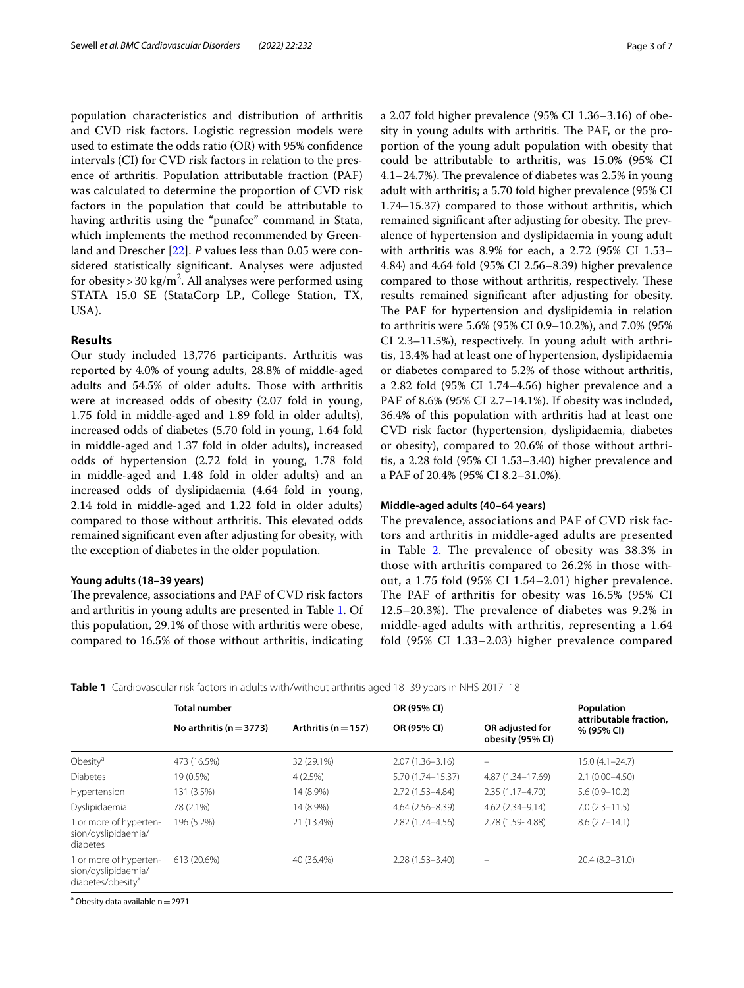population characteristics and distribution of arthritis and CVD risk factors. Logistic regression models were used to estimate the odds ratio (OR) with 95% confdence intervals (CI) for CVD risk factors in relation to the presence of arthritis. Population attributable fraction (PAF) was calculated to determine the proportion of CVD risk factors in the population that could be attributable to having arthritis using the "punafcc" command in Stata, which implements the method recommended by Greenland and Drescher [[22\]](#page-6-8). *P* values less than 0.05 were considered statistically signifcant. Analyses were adjusted for obesity>30 kg/m<sup>2</sup>. All analyses were performed using STATA 15.0 SE (StataCorp LP., College Station, TX, USA).

# **Results**

Our study included 13,776 participants. Arthritis was reported by 4.0% of young adults, 28.8% of middle-aged adults and 54.5% of older adults. Those with arthritis were at increased odds of obesity (2.07 fold in young, 1.75 fold in middle-aged and 1.89 fold in older adults), increased odds of diabetes (5.70 fold in young, 1.64 fold in middle-aged and 1.37 fold in older adults), increased odds of hypertension (2.72 fold in young, 1.78 fold in middle-aged and 1.48 fold in older adults) and an increased odds of dyslipidaemia (4.64 fold in young, 2.14 fold in middle-aged and 1.22 fold in older adults) compared to those without arthritis. This elevated odds remained signifcant even after adjusting for obesity, with the exception of diabetes in the older population.

## **Young adults (18–39 years)**

The prevalence, associations and PAF of CVD risk factors and arthritis in young adults are presented in Table [1](#page-2-0). Of this population, 29.1% of those with arthritis were obese, compared to 16.5% of those without arthritis, indicating a 2.07 fold higher prevalence (95% CI 1.36–3.16) of obesity in young adults with arthritis. The PAF, or the proportion of the young adult population with obesity that could be attributable to arthritis, was 15.0% (95% CI 4.1–24.7%). The prevalence of diabetes was  $2.5\%$  in young adult with arthritis; a 5.70 fold higher prevalence (95% CI 1.74–15.37) compared to those without arthritis, which remained significant after adjusting for obesity. The prevalence of hypertension and dyslipidaemia in young adult with arthritis was 8.9% for each, a 2.72 (95% CI 1.53– 4.84) and 4.64 fold (95% CI 2.56–8.39) higher prevalence compared to those without arthritis, respectively. These results remained signifcant after adjusting for obesity. The PAF for hypertension and dyslipidemia in relation to arthritis were 5.6% (95% CI 0.9–10.2%), and 7.0% (95% CI 2.3–11.5%), respectively. In young adult with arthritis, 13.4% had at least one of hypertension, dyslipidaemia or diabetes compared to 5.2% of those without arthritis, a 2.82 fold (95% CI 1.74–4.56) higher prevalence and a PAF of 8.6% (95% CI 2.7–14.1%). If obesity was included, 36.4% of this population with arthritis had at least one CVD risk factor (hypertension, dyslipidaemia, diabetes or obesity), compared to 20.6% of those without arthritis, a 2.28 fold (95% CI 1.53–3.40) higher prevalence and a PAF of 20.4% (95% CI 8.2–31.0%).

#### **Middle‑aged adults (40–64 years)**

The prevalence, associations and PAF of CVD risk factors and arthritis in middle-aged adults are presented in Table [2](#page-3-0). The prevalence of obesity was 38.3% in those with arthritis compared to 26.2% in those without, a 1.75 fold (95% CI 1.54–2.01) higher prevalence. The PAF of arthritis for obesity was 16.5% (95% CI 12.5–20.3%). The prevalence of diabetes was 9.2% in middle-aged adults with arthritis, representing a 1.64 fold (95% CI 1.33–2.03) higher prevalence compared

<span id="page-2-0"></span>**Table 1** Cardiovascular risk factors in adults with/without arthritis aged 18–39 years in NHS 2017–18

|                                                                                | <b>Total number</b>         |                         | OR (95% CI)         | Population                          |                                      |
|--------------------------------------------------------------------------------|-----------------------------|-------------------------|---------------------|-------------------------------------|--------------------------------------|
|                                                                                | No arthritis ( $n = 3773$ ) | Arthritis ( $n = 157$ ) | OR (95% CI)         | OR adjusted for<br>obesity (95% CI) | attributable fraction,<br>% (95% CI) |
| Obesity <sup>a</sup>                                                           | 473 (16.5%)                 | 32 (29.1%)              | $2.07(1.36 - 3.16)$ |                                     | $15.0(4.1 - 24.7)$                   |
| <b>Diabetes</b>                                                                | 19 (0.5%)                   | 4(2.5%)                 | 5.70 (1.74 - 15.37) | 4.87 (1.34-17.69)                   | $2.1(0.00-4.50)$                     |
| Hypertension                                                                   | 131 (3.5%)                  | 14 (8.9%)               | 2.72 (1.53-4.84)    | $2.35(1.17 - 4.70)$                 | $5.6(0.9 - 10.2)$                    |
| Dyslipidaemia                                                                  | 78 (2.1%)                   | 14 (8.9%)               | $4.64(2.56 - 8.39)$ | $4.62(2.34 - 9.14)$                 | $7.0(2.3 - 11.5)$                    |
| 1 or more of hyperten-<br>sion/dyslipidaemia/<br>diabetes                      | 196 (5.2%)                  | 21 (13.4%)              | 2.82 (1.74-4.56)    | 2.78 (1.59-4.88)                    | $8.6(2.7-14.1)$                      |
| 1 or more of hyperten-<br>sion/dyslipidaemia/<br>diabetes/obesity <sup>a</sup> | 613 (20.6%)                 | 40 (36.4%)              | $2.28(1.53 - 3.40)$ |                                     | $20.4(8.2 - 31.0)$                   |

<sup>a</sup> Obesity data available n  $=$  2971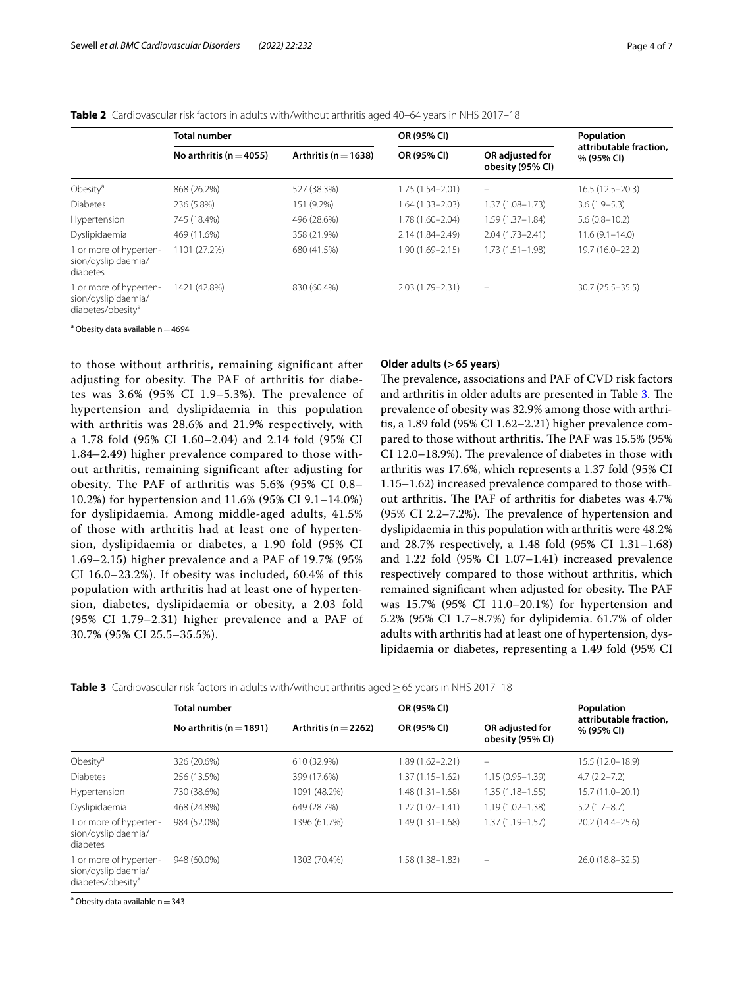|                                                                                | <b>Total number</b>         |                          | OR (95% CI)         | Population                          |                                      |
|--------------------------------------------------------------------------------|-----------------------------|--------------------------|---------------------|-------------------------------------|--------------------------------------|
|                                                                                | No arthritis ( $n = 4055$ ) | Arthritis ( $n = 1638$ ) | OR (95% CI)         | OR adjusted for<br>obesity (95% CI) | attributable fraction,<br>% (95% CI) |
| Obesity <sup>a</sup>                                                           | 868 (26.2%)                 | 527 (38.3%)              | $1.75(1.54 - 2.01)$ |                                     | $16.5(12.5-20.3)$                    |
| <b>Diabetes</b>                                                                | 236 (5.8%)                  | 151 (9.2%)               | $1.64(1.33 - 2.03)$ | $1.37(1.08 - 1.73)$                 | $3.6(1.9-5.3)$                       |
| Hypertension                                                                   | 745 (18.4%)                 | 496 (28.6%)              | $1.78(1.60 - 2.04)$ | $1.59(1.37 - 1.84)$                 | $5.6(0.8 - 10.2)$                    |
| Dyslipidaemia                                                                  | 469 (11.6%)                 | 358 (21.9%)              | $2.14(1.84 - 2.49)$ | $2.04(1.73 - 2.41)$                 | $11.6(9.1 - 14.0)$                   |
| 1 or more of hyperten-<br>sion/dyslipidaemia/<br>diabetes                      | 1101 (27.2%)                | 680 (41.5%)              | $1.90(1.69 - 2.15)$ | $1.73(1.51 - 1.98)$                 | 19.7 (16.0-23.2)                     |
| 1 or more of hyperten-<br>sion/dyslipidaemia/<br>diabetes/obesity <sup>a</sup> | 1421 (42.8%)                | 830 (60.4%)              | 2.03 (1.79-2.31)    | $\qquad \qquad =$                   | $30.7(25.5 - 35.5)$                  |

<span id="page-3-0"></span>**Table 2** Cardiovascular risk factors in adults with/without arthritis aged 40–64 years in NHS 2017–18

<sup>a</sup> Obesity data available n $=$  4694

to those without arthritis, remaining significant after adjusting for obesity. The PAF of arthritis for diabetes was 3.6% (95% CI 1.9–5.3%). The prevalence of hypertension and dyslipidaemia in this population with arthritis was 28.6% and 21.9% respectively, with a 1.78 fold (95% CI 1.60–2.04) and 2.14 fold (95% CI 1.84–2.49) higher prevalence compared to those without arthritis, remaining significant after adjusting for obesity. The PAF of arthritis was 5.6% (95% CI 0.8– 10.2%) for hypertension and 11.6% (95% CI 9.1–14.0%) for dyslipidaemia. Among middle-aged adults, 41.5% of those with arthritis had at least one of hypertension, dyslipidaemia or diabetes, a 1.90 fold (95% CI 1.69–2.15) higher prevalence and a PAF of 19.7% (95% CI 16.0–23.2%). If obesity was included, 60.4% of this population with arthritis had at least one of hypertension, diabetes, dyslipidaemia or obesity, a 2.03 fold (95% CI 1.79–2.31) higher prevalence and a PAF of 30.7% (95% CI 25.5–35.5%).

#### **Older adults (>65 years)**

The prevalence, associations and PAF of CVD risk factors and arthritis in older adults are presented in Table [3](#page-3-1). The prevalence of obesity was 32.9% among those with arthritis, a 1.89 fold (95% CI 1.62–2.21) higher prevalence compared to those without arthritis. The PAF was 15.5% (95%) CI 12.0–18.9%). The prevalence of diabetes in those with arthritis was 17.6%, which represents a 1.37 fold (95% CI 1.15–1.62) increased prevalence compared to those without arthritis. The PAF of arthritis for diabetes was 4.7%  $(95\% \text{ CI } 2.2 - 7.2\%).$  The prevalence of hypertension and dyslipidaemia in this population with arthritis were 48.2% and 28.7% respectively, a 1.48 fold (95% CI 1.31–1.68) and 1.22 fold (95% CI 1.07–1.41) increased prevalence respectively compared to those without arthritis, which remained significant when adjusted for obesity. The PAF was 15.7% (95% CI 11.0–20.1%) for hypertension and 5.2% (95% CI 1.7–8.7%) for dylipidemia. 61.7% of older adults with arthritis had at least one of hypertension, dyslipidaemia or diabetes, representing a 1.49 fold (95% CI

<span id="page-3-1"></span>

|  | Table 3 Cardiovascular risk factors in adults with/without arthritis aged $\geq$ 65 years in NHS 2017–18 |  |  |  |  |  |  |  |
|--|----------------------------------------------------------------------------------------------------------|--|--|--|--|--|--|--|
|--|----------------------------------------------------------------------------------------------------------|--|--|--|--|--|--|--|

|                                                                                | <b>Total number</b>         |                          | OR (95% CI)         | Population                          |                                      |  |
|--------------------------------------------------------------------------------|-----------------------------|--------------------------|---------------------|-------------------------------------|--------------------------------------|--|
|                                                                                | No arthritis ( $n = 1891$ ) | Arthritis ( $n = 2262$ ) | OR (95% CI)         | OR adjusted for<br>obesity (95% CI) | attributable fraction,<br>% (95% CI) |  |
| Obesity <sup>a</sup>                                                           | 326 (20.6%)                 | 610 (32.9%)              | 1.89 (1.62-2.21)    |                                     | $15.5(12.0-18.9)$                    |  |
| <b>Diabetes</b>                                                                | 256 (13.5%)                 | 399 (17.6%)              | 1.37 (1.15-1.62)    | $1.15(0.95 - 1.39)$                 | $4.7(2.2 - 7.2)$                     |  |
| Hypertension                                                                   | 730 (38.6%)                 | 1091 (48.2%)             | $1.48(1.31 - 1.68)$ | $1.35(1.18 - 1.55)$                 | 15.7 (11.0-20.1)                     |  |
| Dyslipidaemia                                                                  | 468 (24.8%)                 | 649 (28.7%)              | $1.22(1.07 - 1.41)$ | $1.19(1.02 - 1.38)$                 | $5.2(1.7-8.7)$                       |  |
| 1 or more of hyperten-<br>sion/dyslipidaemia/<br>diabetes                      | 984 (52.0%)                 | 1396 (61.7%)             | $1.49(1.31 - 1.68)$ | $1.37(1.19 - 1.57)$                 | 20.2 (14.4-25.6)                     |  |
| 1 or more of hyperten-<br>sion/dyslipidaemia/<br>diabetes/obesity <sup>a</sup> | 948 (60.0%)                 | 1303 (70.4%)             | 1.58 (1.38–1.83)    | $-$                                 | 26.0 (18.8-32.5)                     |  |

<sup>a</sup> Obesity data available n  $=$  343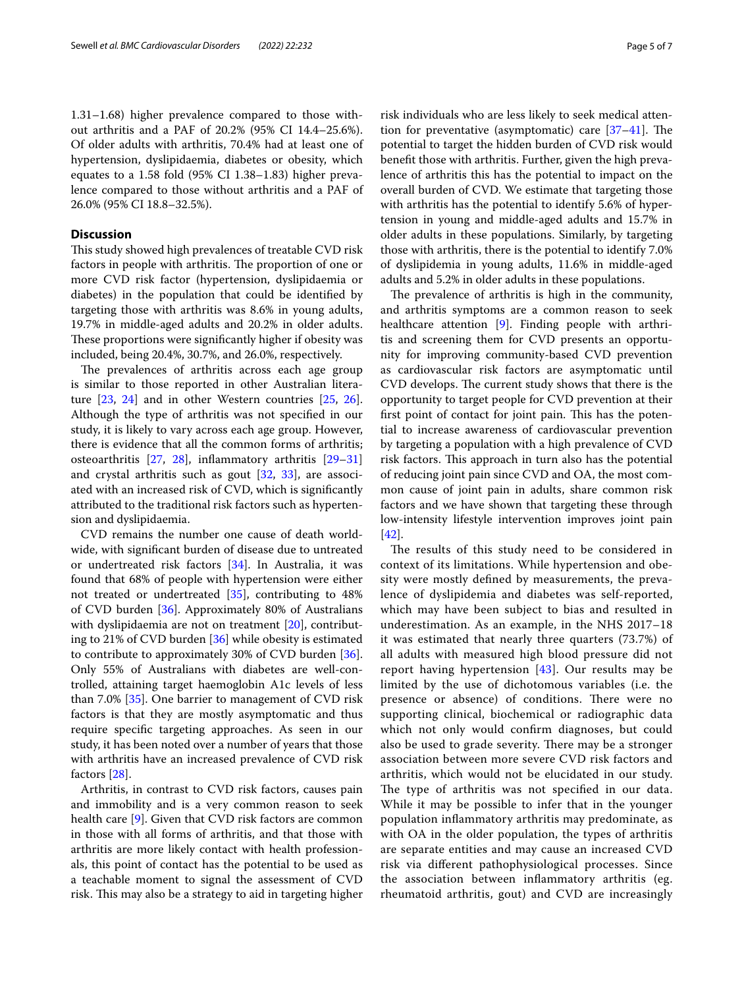1.31–1.68) higher prevalence compared to those without arthritis and a PAF of 20.2% (95% CI 14.4–25.6%). Of older adults with arthritis, 70.4% had at least one of hypertension, dyslipidaemia, diabetes or obesity, which equates to a 1.58 fold (95% CI 1.38–1.83) higher prevalence compared to those without arthritis and a PAF of 26.0% (95% CI 18.8–32.5%).

# **Discussion**

This study showed high prevalences of treatable CVD risk factors in people with arthritis. The proportion of one or more CVD risk factor (hypertension, dyslipidaemia or diabetes) in the population that could be identifed by targeting those with arthritis was 8.6% in young adults, 19.7% in middle-aged adults and 20.2% in older adults. These proportions were significantly higher if obesity was included, being 20.4%, 30.7%, and 26.0%, respectively.

The prevalences of arthritis across each age group is similar to those reported in other Australian literature [\[23,](#page-6-9) [24](#page-6-10)] and in other Western countries [[25,](#page-6-11) [26](#page-6-12)]. Although the type of arthritis was not specifed in our study, it is likely to vary across each age group. However, there is evidence that all the common forms of arthritis; osteoarthritis [\[27](#page-6-13), [28\]](#page-6-14), infammatory arthritis [[29–](#page-6-15)[31](#page-6-16)] and crystal arthritis such as gout [[32](#page-6-17), [33](#page-6-18)], are associated with an increased risk of CVD, which is signifcantly attributed to the traditional risk factors such as hypertension and dyslipidaemia.

CVD remains the number one cause of death worldwide, with signifcant burden of disease due to untreated or undertreated risk factors [\[34](#page-6-19)]. In Australia, it was found that 68% of people with hypertension were either not treated or undertreated [\[35](#page-6-20)], contributing to 48% of CVD burden [\[36](#page-6-21)]. Approximately 80% of Australians with dyslipidaemia are not on treatment [[20](#page-6-6)], contributing to 21% of CVD burden [[36](#page-6-21)] while obesity is estimated to contribute to approximately 30% of CVD burden [\[36](#page-6-21)]. Only 55% of Australians with diabetes are well-controlled, attaining target haemoglobin A1c levels of less than 7.0% [\[35](#page-6-20)]. One barrier to management of CVD risk factors is that they are mostly asymptomatic and thus require specifc targeting approaches. As seen in our study, it has been noted over a number of years that those with arthritis have an increased prevalence of CVD risk factors [\[28\]](#page-6-14).

Arthritis, in contrast to CVD risk factors, causes pain and immobility and is a very common reason to seek health care [[9\]](#page-5-6). Given that CVD risk factors are common in those with all forms of arthritis, and that those with arthritis are more likely contact with health professionals, this point of contact has the potential to be used as a teachable moment to signal the assessment of CVD risk. This may also be a strategy to aid in targeting higher

risk individuals who are less likely to seek medical attention for preventative (asymptomatic) care  $[37-41]$  $[37-41]$ . The potential to target the hidden burden of CVD risk would beneft those with arthritis. Further, given the high prevalence of arthritis this has the potential to impact on the overall burden of CVD. We estimate that targeting those with arthritis has the potential to identify 5.6% of hypertension in young and middle-aged adults and 15.7% in older adults in these populations. Similarly, by targeting those with arthritis, there is the potential to identify 7.0% of dyslipidemia in young adults, 11.6% in middle-aged adults and 5.2% in older adults in these populations.

The prevalence of arthritis is high in the community, and arthritis symptoms are a common reason to seek healthcare attention [[9\]](#page-5-6). Finding people with arthritis and screening them for CVD presents an opportunity for improving community-based CVD prevention as cardiovascular risk factors are asymptomatic until CVD develops. The current study shows that there is the opportunity to target people for CVD prevention at their first point of contact for joint pain. This has the potential to increase awareness of cardiovascular prevention by targeting a population with a high prevalence of CVD risk factors. This approach in turn also has the potential of reducing joint pain since CVD and OA, the most common cause of joint pain in adults, share common risk factors and we have shown that targeting these through low-intensity lifestyle intervention improves joint pain [[42\]](#page-6-24).

The results of this study need to be considered in context of its limitations. While hypertension and obesity were mostly defned by measurements, the prevalence of dyslipidemia and diabetes was self-reported, which may have been subject to bias and resulted in underestimation. As an example, in the NHS 2017–18 it was estimated that nearly three quarters (73.7%) of all adults with measured high blood pressure did not report having hypertension [[43\]](#page-6-25). Our results may be limited by the use of dichotomous variables (i.e. the presence or absence) of conditions. There were no supporting clinical, biochemical or radiographic data which not only would confrm diagnoses, but could also be used to grade severity. There may be a stronger association between more severe CVD risk factors and arthritis, which would not be elucidated in our study. The type of arthritis was not specified in our data. While it may be possible to infer that in the younger population infammatory arthritis may predominate, as with OA in the older population, the types of arthritis are separate entities and may cause an increased CVD risk via diferent pathophysiological processes. Since the association between infammatory arthritis (eg. rheumatoid arthritis, gout) and CVD are increasingly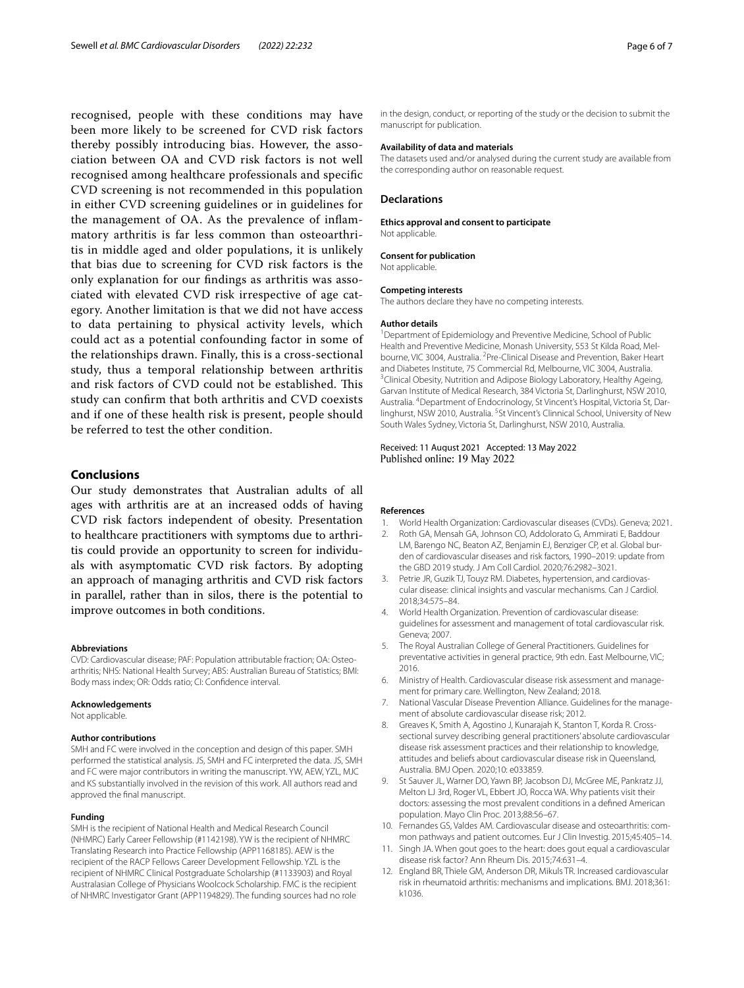recognised, people with these conditions may have been more likely to be screened for CVD risk factors thereby possibly introducing bias. However, the association between OA and CVD risk factors is not well recognised among healthcare professionals and specifc CVD screening is not recommended in this population in either CVD screening guidelines or in guidelines for the management of OA. As the prevalence of infammatory arthritis is far less common than osteoarthritis in middle aged and older populations, it is unlikely that bias due to screening for CVD risk factors is the only explanation for our fndings as arthritis was associated with elevated CVD risk irrespective of age category. Another limitation is that we did not have access to data pertaining to physical activity levels, which could act as a potential confounding factor in some of the relationships drawn. Finally, this is a cross-sectional study, thus a temporal relationship between arthritis and risk factors of CVD could not be established. This study can confrm that both arthritis and CVD coexists and if one of these health risk is present, people should be referred to test the other condition.

# **Conclusions**

Our study demonstrates that Australian adults of all ages with arthritis are at an increased odds of having CVD risk factors independent of obesity. Presentation to healthcare practitioners with symptoms due to arthritis could provide an opportunity to screen for individuals with asymptomatic CVD risk factors. By adopting an approach of managing arthritis and CVD risk factors in parallel, rather than in silos, there is the potential to improve outcomes in both conditions.

#### **Abbreviations**

CVD: Cardiovascular disease; PAF: Population attributable fraction; OA: Osteoarthritis; NHS: National Health Survey; ABS: Australian Bureau of Statistics; BMI: Body mass index; OR: Odds ratio; CI: Confdence interval.

#### **Acknowledgements**

Not applicable.

#### **Author contributions**

SMH and FC were involved in the conception and design of this paper. SMH performed the statistical analysis. JS, SMH and FC interpreted the data. JS, SMH and FC were major contributors in writing the manuscript. YW, AEW, YZL, MJC and KS substantially involved in the revision of this work. All authors read and approved the fnal manuscript.

#### **Funding**

SMH is the recipient of National Health and Medical Research Council (NHMRC) Early Career Fellowship (#1142198). YW is the recipient of NHMRC Translating Research into Practice Fellowship (APP1168185). AEW is the recipient of the RACP Fellows Career Development Fellowship. YZL is the recipient of NHMRC Clinical Postgraduate Scholarship (#1133903) and Royal Australasian College of Physicians Woolcock Scholarship. FMC is the recipient of NHMRC Investigator Grant (APP1194829). The funding sources had no role

in the design, conduct, or reporting of the study or the decision to submit the manuscript for publication.

## **Availability of data and materials**

The datasets used and/or analysed during the current study are available from the corresponding author on reasonable request.

#### **Declarations**

#### **Ethics approval and consent to participate**

Not applicable.

#### **Consent for publication**

Not applicable.

#### **Competing interests**

The authors declare they have no competing interests.

#### **Author details**

<sup>1</sup> Department of Epidemiology and Preventive Medicine, School of Public Health and Preventive Medicine, Monash University, 553 St Kilda Road, Melbourne, VIC 3004, Australia. <sup>2</sup> Pre-Clinical Disease and Prevention, Baker Heart and Diabetes Institute, 75 Commercial Rd, Melbourne, VIC 3004, Australia. <sup>3</sup>Clinical Obesity, Nutrition and Adipose Biology Laboratory, Healthy Ageing, Garvan Institute of Medical Research, 384 Victoria St, Darlinghurst, NSW 2010, Australia. 4 Department of Endocrinology, St Vincent's Hospital, Victoria St, Darlinghurst, NSW 2010, Australia. <sup>5</sup>St Vincent's Clinnical School, University of New South Wales Sydney, Victoria St, Darlinghurst, NSW 2010, Australia.

## Received: 11 August 2021 Accepted: 13 May 2022 Published online: 19 May 2022

#### **References**

- <span id="page-5-0"></span>1. World Health Organization: Cardiovascular diseases (CVDs). Geneva; 2021.
- <span id="page-5-1"></span>2. Roth GA, Mensah GA, Johnson CO, Addolorato G, Ammirati E, Baddour LM, Barengo NC, Beaton AZ, Benjamin EJ, Benziger CP, et al. Global burden of cardiovascular diseases and risk factors, 1990–2019: update from the GBD 2019 study. J Am Coll Cardiol. 2020;76:2982–3021.
- <span id="page-5-2"></span>3. Petrie JR, Guzik TJ, Touyz RM. Diabetes, hypertension, and cardiovascular disease: clinical insights and vascular mechanisms. Can J Cardiol. 2018;34:575–84.
- <span id="page-5-3"></span>World Health Organization. Prevention of cardiovascular disease: guidelines for assessment and management of total cardiovascular risk. Geneva; 2007.
- 5. The Royal Australian College of General Practitioners. Guidelines for preventative activities in general practice, 9th edn. East Melbourne, VIC; 2016.
- 6. Ministry of Health. Cardiovascular disease risk assessment and management for primary care. Wellington, New Zealand; 2018.
- <span id="page-5-4"></span>7. National Vascular Disease Prevention Alliance. Guidelines for the management of absolute cardiovascular disease risk; 2012.
- <span id="page-5-5"></span>8. Greaves K, Smith A, Agostino J, Kunarajah K, Stanton T, Korda R. Crosssectional survey describing general practitioners' absolute cardiovascular disease risk assessment practices and their relationship to knowledge, attitudes and beliefs about cardiovascular disease risk in Queensland, Australia. BMJ Open. 2020;10: e033859.
- <span id="page-5-6"></span>St Sauver JL, Warner DO, Yawn BP, Jacobson DJ, McGree ME, Pankratz JJ, Melton LJ 3rd, Roger VL, Ebbert JO, Rocca WA. Why patients visit their doctors: assessing the most prevalent conditions in a defned American population. Mayo Clin Proc. 2013;88:56–67.
- <span id="page-5-7"></span>10. Fernandes GS, Valdes AM. Cardiovascular disease and osteoarthritis: common pathways and patient outcomes. Eur J Clin Investig. 2015;45:405–14.
- 11. Singh JA. When gout goes to the heart: does gout equal a cardiovascular disease risk factor? Ann Rheum Dis. 2015;74:631–4.
- 12. England BR, Thiele GM, Anderson DR, Mikuls TR. Increased cardiovascular risk in rheumatoid arthritis: mechanisms and implications. BMJ. 2018;361: k1036.